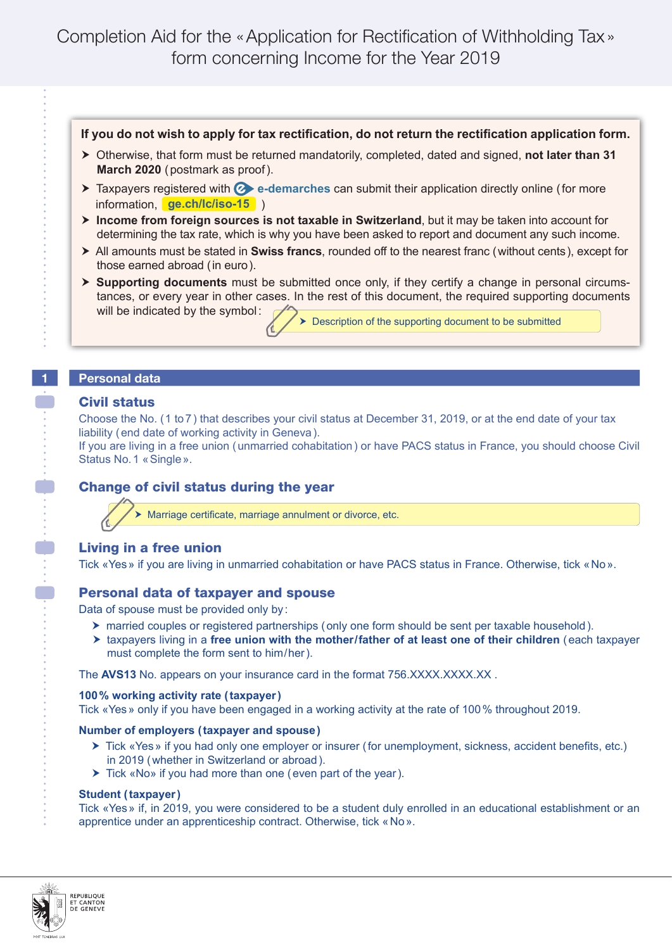## **If you do not wish to apply for tax rectification, do not return the rectification application form.**

- Otherwise, that form must be returned mandatorily, completed, dated and signed, **not later than 31 March 2020** (postmark as proof).
- **Taxpayers registered with C** e-demarches can submit their application directly online (for more information, ) **ge.ch/lc/iso-15**
- **Income from foreign sources is not taxable in Switzerland**, but it may be taken into account for determining the tax rate, which is why you have been asked to report and document any such income.
- All amounts must be stated in **Swiss francs**, rounded off to the nearest franc (without cents), except for those earned abroad (in euro).
- **Supporting documents** must be submitted once only, if they certify a change in personal circumstances, or every year in other cases. In the rest of this document, the required supporting documents will be indicated by the symbol: **>** Description of the supporting document to be submitted

## **1 Personal data**

## Civil status

Choose the No. (1 to 7) that describes your civil status at December 31, 2019, or at the end date of your tax liability (end date of working activity in Geneva).

If you are living in a free union (unmarried cohabitation) or have PACS status in France, you should choose Civil Status No.1 «Single».

# Change of civil status during the year

Marriage certificate, marriage annulment or divorce, etc.

## Living in a free union

Tick «Yes» if you are living in unmarried cohabitation or have PACS status in France. Otherwise, tick «No».

## Personal data of taxpayer and spouse

Data of spouse must be provided only by :

- married couples or registered partnerships (only one form should be sent per taxable household).
- ▶ taxpayers living in a free union with the mother/father of at least one of their children (each taxpayer must complete the form sent to him/her).

The **AVS13** No. appears on your insurance card in the format 756.XXXX.XXX.XXX.XX

**100% working activity rate (taxpayer)**

Tick «Yes» only if you have been engaged in a working activity at the rate of 100% throughout 2019.

### **Number of employers (taxpayer and spouse)**

- ▶ Tick «Yes» if you had only one employer or insurer (for unemployment, sickness, accident benefits, etc.) in 2019 (whether in Switzerland or abroad).
- ▶ Tick «No» if you had more than one (even part of the year).

### **Student (taxpayer)**

Tick «Yes» if, in 2019, you were considered to be a student duly enrolled in an educational establishment or an apprentice under an apprenticeship contract. Otherwise, tick «No».

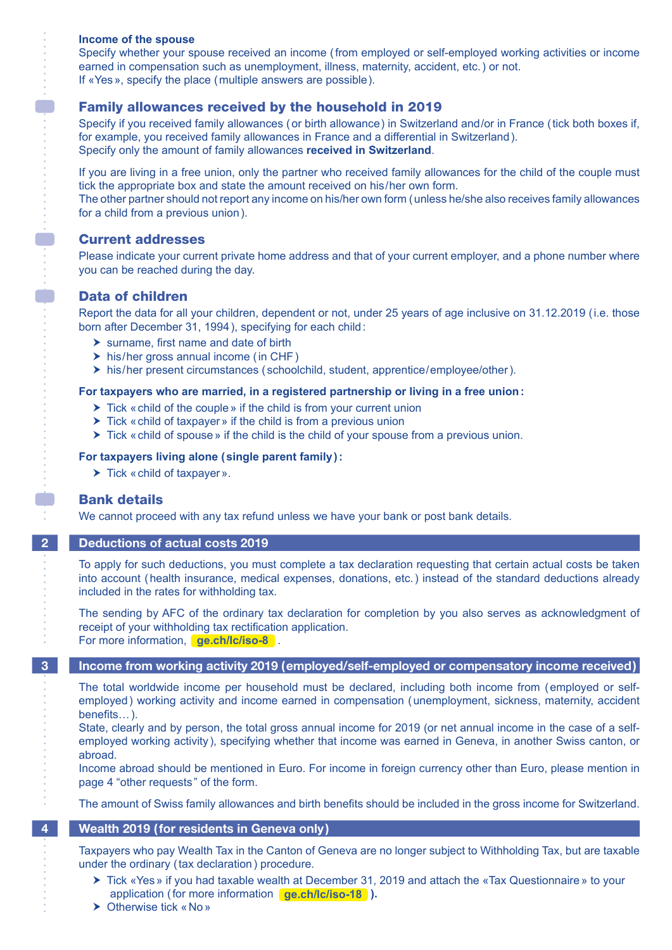#### **Income of the spouse**

Specify whether your spouse received an income (from employed or self-employed working activities or income earned in compensation such as unemployment, illness, maternity, accident, etc.) or not. If «Yes», specify the place (multiple answers are possible ).

## Family allowances received by the household in 2019

Specify if you received family allowances (or birth allowance) in Switzerland and/or in France (tick both boxes if, for example, you received family allowances in France and a differential in Switzerland). Specify only the amount of family allowances **received in Switzerland**.

If you are living in a free union, only the partner who received family allowances for the child of the couple must tick the appropriate box and state the amount received on his/her own form.

The other partner should not report any income on his/her own form (unless he/she also receives family allowances for a child from a previous union).

#### Current addresses

Please indicate your current private home address and that of your current employer, and a phone number where you can be reached during the day.

### Data of children

Report the data for all your children, dependent or not, under 25 years of age inclusive on 31.12.2019 (i.e. those born after December 31, 1994), specifying for each child:

- $\triangleright$  surname, first name and date of birth
- $\triangleright$  his/her gross annual income (in CHF)
- $\triangleright$  his/her present circumstances ( schoolchild, student, apprentice/employee/other).

#### **For taxpayers who are married, in a registered partnership or living in a free union:**

- ▶ Tick « child of the couple » if the child is from your current union
- $\triangleright$  Tick «child of taxpayer» if the child is from a previous union
- $\triangleright$  Tick «child of spouse» if the child is the child of your spouse from a previous union.

#### **For taxpayers living alone (single parent family):**

 $\blacktriangleright$  Tick « child of taxpayer ».

### Bank details

We cannot proceed with any tax refund unless we have your bank or post bank details*.*

#### **2 Deductions of actual costs 2019**

To apply for such deductions, you must complete a tax declaration requesting that certain actual costs be taken into account (health insurance, medical expenses, donations, etc.) instead of the standard deductions already included in the rates for withholding tax.

The sending by AFC of the ordinary tax declaration for completion by you also serves as acknowledgment of receipt of your withholding tax rectification application. For more information, **[ge.ch/lc/iso-8](http://ge.ch/lc/iso-8)**.

**3 Income from working activity 2019 (employed/self-employed or compensatory income received)**

The total worldwide income per household must be declared, including both income from (employed or selfemployed) working activity and income earned in compensation (unemployment, sickness, maternity, accident benefits…).

State, clearly and by person, the total gross annual income for 2019 (or net annual income in the case of a selfemployed working activity), specifying whether that income was earned in Geneva, in another Swiss canton, or abroad.

Income abroad should be mentioned in Euro. For income in foreign currency other than Euro, please mention in page 4 "other requests " of the form.

The amount of Swiss family allowances and birth benefits should be included in the gross income for Switzerland.

### **4 Wealth 2019 (for residents in Geneva only)**

Taxpayers who pay Wealth Tax in the Canton of Geneva are no longer subject to Withholding Tax, but are taxable under the ordinary (tax declaration) procedure.

- application (for more information **[ge.ch/lc/iso-18](http://ge.ch/lc/iso-18)**). ▶ Tick «Yes» if you had taxable wealth at December 31, 2019 and attach the «Tax Questionnaire» to your
- ▶ Otherwise tick «No»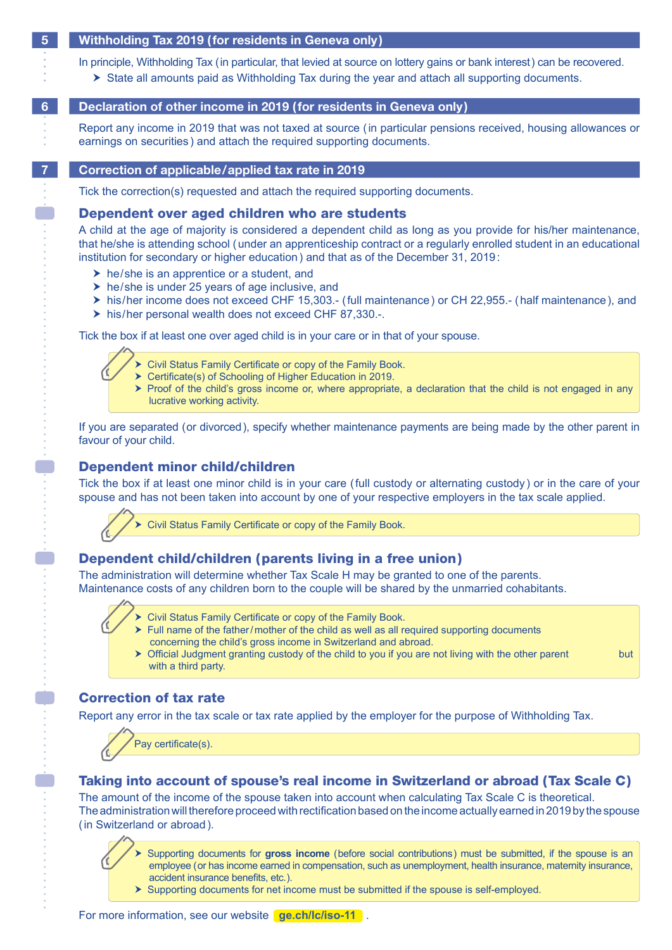#### **5 Withholding Tax 2019 (for residents in Geneva only)**

In principle, Withholding Tax (in particular, that levied at source on lottery gains or bank interest) can be recovered.

State all amounts paid as Withholding Tax during the year and attach all supporting documents.

### **6 Declaration of other income in 2019 (for residents in Geneva only)**

Report any income in 2019 that was not taxed at source (in particular pensions received, housing allowances or earnings on securities ) and attach the required supporting documents.

#### **7 Correction of applicable/applied tax rate in 2019**

Tick the correction(s) requested and attach the required supporting documents.

#### Dependent over aged children who are students

A child at the age of majority is considered a dependent child as long as you provide for his/her maintenance, that he/she is attending school (under an apprenticeship contract or a regularly enrolled student in an educational institution for secondary or higher education) and that as of the December 31, 2019:

- $\triangleright$  he/she is an apprentice or a student, and
- $\triangleright$  he/she is under 25 years of age inclusive, and
- his/her income does not exceed CHF 15,303.- (full maintenance) or CH 22,955.- (half maintenance), and
- his/her personal wealth does not exceed CHF 87,330.-.

Tick the box if at least one over aged child is in your care or in that of your spouse.

- Civil Status Family Certificate or copy of the Family Book.
	- Certificate(s) of Schooling of Higher Education in 2019.
	- $\triangleright$  Proof of the child's gross income or, where appropriate, a declaration that the child is not engaged in any lucrative working activity.

If you are separated ( or divorced), specify whether maintenance payments are being made by the other parent in favour of your child.

## Dependent minor child/children

Tick the box if at least one minor child is in your care (full custody or alternating custody ) or in the care of your spouse and has not been taken into account by one of your respective employers in the tax scale applied.



## Dependent child/children (parents living in a free union)

The administration will determine whether Tax Scale H may be granted to one of the parents. Maintenance costs of any children born to the couple will be shared by the unmarried cohabitants.

- ▶ Civil Status Family Certificate or copy of the Family Book.
	- $\triangleright$  Full name of the father/mother of the child as well as all required supporting documents concerning the child's gross income in Switzerland and abroad.
	- > Official Judgment granting custody of the child to you if you are not living with the other parent but with a third party.

## Correction of tax rate

Report any error in the tax scale or tax rate applied by the employer for the purpose of Withholding Tax.



## Taking into account of spouse's real income in Switzerland or abroad (Tax Scale C)

The amount of the income of the spouse taken into account when calculating Tax Scale C is theoretical. The administration will therefore proceed with rectification based on the income actually earned in 2019 by the spouse (in Switzerland or abroad).

 Supporting documents for **gross income** (before social contributions) must be submitted, if the spouse is an employee (or has income earned in compensation, such as unemployment, health insurance, maternity insurance, accident insurance benefits, etc. ).

 $\triangleright$  Supporting documents for net income must be submitted if the spouse is self-employed.